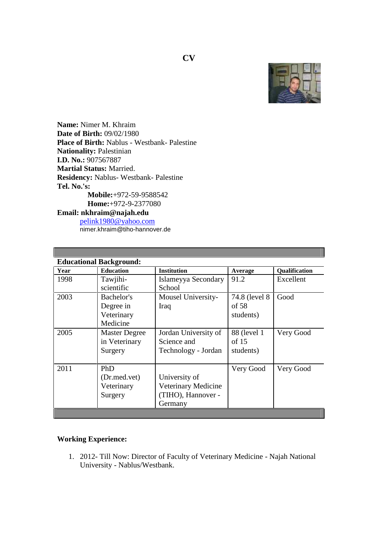

**Name:** Nimer M. Khraim **Date of Birth:** 09/02/1980 **Place of Birth:** Nablus - Westbank- Palestine **Nationality:** Palestinian **I.D. No.:** 907567887 **Martial Status:** Married. **Residency:** Nablus- Westbank- Palestine **Tel. No.'s: Mobile:**+972-59-9588542 **Home:**+972-9-2377080 **Email: nkhraim@najah.edu** pelink1980@yahoo.com

nimer.khraim@tiho-hannover.de

| Year | <b>Educational Background:</b><br><b>Education</b> | <b>Institution</b>                                                    | Average                              | Qualification |
|------|----------------------------------------------------|-----------------------------------------------------------------------|--------------------------------------|---------------|
| 1998 | Tawjihi-<br>scientific                             | Islameyya Secondary<br>School                                         | 91.2                                 | Excellent     |
| 2003 | Bachelor's<br>Degree in<br>Veterinary<br>Medicine  | Mousel University-<br>Iraq                                            | 74.8 (level 8)<br>of 58<br>students) | Good          |
| 2005 | <b>Master Degree</b><br>in Veterinary<br>Surgery   | Jordan University of<br>Science and<br>Technology - Jordan            | 88 (level 1)<br>of $15$<br>students) | Very Good     |
| 2011 | PhD<br>(Dr.med.vet)<br>Veterinary<br>Surgery       | University of<br>Veterinary Medicine<br>(TIHO), Hannover -<br>Germany | Very Good                            | Very Good     |

## **Working Experience:**

1. 2012- Till Now: Director of Faculty of Veterinary Medicine - Najah National University - Nablus/Westbank.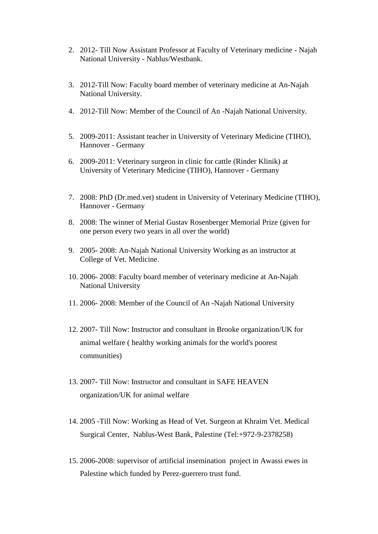- 2. 2012- Till Now Assistant Professor at Faculty of Veterinary medicine Najah National University - Nablus/Westbank.
- 3. 2012-Till Now: Faculty board member of veterinary medicine at An-Najah National University.
- 4. 2012-Till Now: Member of the Council of An -Najah National University.
- 5. 2009-2011: Assistant teacher in University of Veterinary Medicine (TIHO), Hannover - Germany
- 6. 2009-2011: Veterinary surgeon in clinic for cattle (Rinder Klinik) at University of Veterinary Medicine (TIHO), Hannover - Germany
- 7. 2008: PhD (Dr.med.vet) student in University of Veterinary Medicine (TIHO), Hannover - Germany
- 8. 2008: The winner of Merial Gustav Rosenberger Memorial Prize (given for one person every two years in all over the world)
- 9. 2005- 2008: An-Najah National University Working as an instructor at College of Vet. Medicine.
- 10. 2006- 2008: Faculty board member of veterinary medicine at An-Najah National University
- 11. 2006- 2008: Member of the Council of An -Najah National University
- 12. 2007- Till Now: Instructor and consultant in Brooke organization/UK for animal welfare ( healthy working animals for the world's poorest communities)
- 13. 2007- Till Now: Instructor and consultant in SAFE HEAVEN organization/UK for animal welfare
- 14. 2005 -Till Now: Working as Head of Vet. Surgeon at Khraim Vet. Medical Surgical Center, Nablus-West Bank, Palestine (Tel:+972-9-2378258)
- 15. 2006-2008: supervisor of artificial insemination project in Awassi ewes in Palestine which funded by Perez-guerrero trust fund.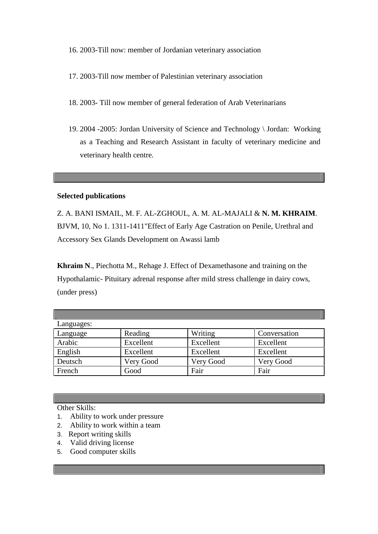16. 2003-Till now: member of Jordanian veterinary association

- 17. 2003-Till now member of Palestinian veterinary association
- 18. 2003- Till now member of general federation of Arab Veterinarians
- 19. 2004 -2005: Jordan University of Science and Technology \ Jordan: Working as a Teaching and Research Assistant in faculty of veterinary medicine and veterinary health centre.

## **Selected publications**

Z. A. BANI ISMAIL, M. F. AL-ZGHOUL, A. M. AL-MAJALI & **N. M. KHRAIM**. BJVM, 10, No 1. 1311-1411"Effect of Early Age Castration on Penile, Urethral and Accessory Sex Glands Development on Awassi lamb

**Khraim N**., Piechotta M., Rehage J. Effect of Dexamethasone and training on the Hypothalamic- Pituitary adrenal response after mild stress challenge in dairy cows, (under press)

| Languages: |           |           |              |  |  |  |
|------------|-----------|-----------|--------------|--|--|--|
| Language   | Reading   | Writing   | Conversation |  |  |  |
| Arabic     | Excellent | Excellent | Excellent    |  |  |  |
| English    | Excellent | Excellent | Excellent    |  |  |  |
| Deutsch    | Very Good | Very Good | Very Good    |  |  |  |
| French     | Good      | Fair      | Fair         |  |  |  |

Other Skills:

- 1. Ability to work under pressure
- 2. Ability to work within a team
- 3. Report writing skills
- 4. Valid driving license
- 5. Good computer skills